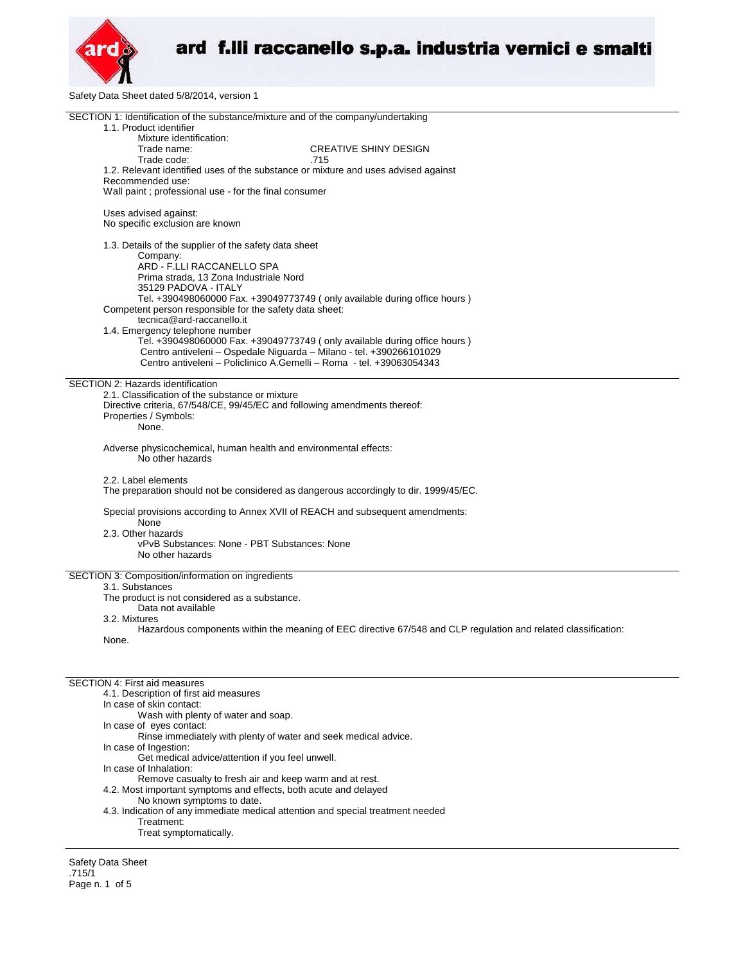

Safety Data Sheet dated 5/8/2014, version 1

| SECTION 1: Identification of the substance/mixture and of the company/undertaking                              |  |  |  |
|----------------------------------------------------------------------------------------------------------------|--|--|--|
| 1.1. Product identifier                                                                                        |  |  |  |
| Mixture identification:                                                                                        |  |  |  |
| Trade name:<br><b>CREATIVE SHINY DESIGN</b>                                                                    |  |  |  |
| Trade code:<br>.715                                                                                            |  |  |  |
| 1.2. Relevant identified uses of the substance or mixture and uses advised against                             |  |  |  |
| Recommended use:                                                                                               |  |  |  |
| Wall paint; professional use - for the final consumer                                                          |  |  |  |
|                                                                                                                |  |  |  |
| Uses advised against:                                                                                          |  |  |  |
| No specific exclusion are known                                                                                |  |  |  |
|                                                                                                                |  |  |  |
| 1.3. Details of the supplier of the safety data sheet                                                          |  |  |  |
| Company:                                                                                                       |  |  |  |
| ARD - F.LLI RACCANELLO SPA                                                                                     |  |  |  |
| Prima strada, 13 Zona Industriale Nord                                                                         |  |  |  |
| 35129 PADOVA - ITALY<br>Tel. +390498060000 Fax. +39049773749 (only available during office hours)              |  |  |  |
|                                                                                                                |  |  |  |
| Competent person responsible for the safety data sheet:<br>tecnica@ard-raccanello.it                           |  |  |  |
| 1.4. Emergency telephone number                                                                                |  |  |  |
| Tel. +390498060000 Fax. +39049773749 (only available during office hours )                                     |  |  |  |
| Centro antiveleni - Ospedale Niguarda - Milano - tel. +390266101029                                            |  |  |  |
| Centro antiveleni - Policlinico A.Gemelli - Roma - tel. +39063054343                                           |  |  |  |
|                                                                                                                |  |  |  |
| SECTION 2: Hazards identification                                                                              |  |  |  |
| 2.1. Classification of the substance or mixture                                                                |  |  |  |
| Directive criteria, 67/548/CE, 99/45/EC and following amendments thereof:                                      |  |  |  |
| Properties / Symbols:                                                                                          |  |  |  |
| None.                                                                                                          |  |  |  |
|                                                                                                                |  |  |  |
| Adverse physicochemical, human health and environmental effects:                                               |  |  |  |
| No other hazards                                                                                               |  |  |  |
|                                                                                                                |  |  |  |
| 2.2. Label elements                                                                                            |  |  |  |
| The preparation should not be considered as dangerous accordingly to dir. 1999/45/EC.                          |  |  |  |
| Special provisions according to Annex XVII of REACH and subsequent amendments:                                 |  |  |  |
| None                                                                                                           |  |  |  |
| 2.3. Other hazards                                                                                             |  |  |  |
| vPvB Substances: None - PBT Substances: None                                                                   |  |  |  |
| No other hazards                                                                                               |  |  |  |
|                                                                                                                |  |  |  |
| SECTION 3: Composition/information on ingredients                                                              |  |  |  |
| 3.1. Substances                                                                                                |  |  |  |
| The product is not considered as a substance.                                                                  |  |  |  |
| Data not available                                                                                             |  |  |  |
| 3.2. Mixtures                                                                                                  |  |  |  |
| Hazardous components within the meaning of EEC directive 67/548 and CLP regulation and related classification: |  |  |  |
| None.                                                                                                          |  |  |  |
|                                                                                                                |  |  |  |
|                                                                                                                |  |  |  |
| <b>SECTION 4: First aid measures</b>                                                                           |  |  |  |
| 4.1. Description of first aid measures                                                                         |  |  |  |
| In case of skin contact:                                                                                       |  |  |  |
| Wash with plenty of water and soap.                                                                            |  |  |  |
| In case of eves contact:                                                                                       |  |  |  |
| Rinse immediately with plenty of water and seek medical advice.                                                |  |  |  |
| In case of Ingestion:                                                                                          |  |  |  |
| Get medical advice/attention if you feel unwell.                                                               |  |  |  |
| In case of Inhalation:                                                                                         |  |  |  |
|                                                                                                                |  |  |  |

Remove casualty to fresh air and keep warm and at rest.

- 4.2. Most important symptoms and effects, both acute and delayed
	- No known symptoms to date.
- 4.3. Indication of any immediate medical attention and special treatment needed Treatment:
	- Treat symptomatically.

Safety Data Sheet .715/1 Page n. 1 of 5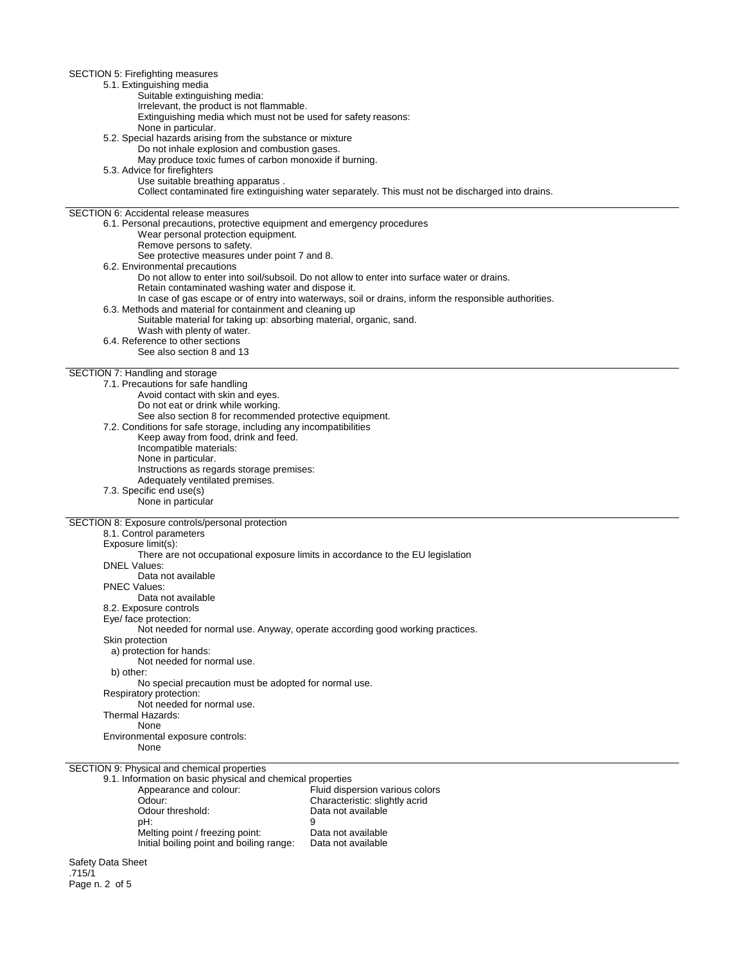SECTION 5: Firefighting measures 5.1. Extinguishing media Suitable extinguishing media: Irrelevant, the product is not flammable. Extinguishing media which must not be used for safety reasons: None in particular. 5.2. Special hazards arising from the substance or mixture Do not inhale explosion and combustion gases. May produce toxic fumes of carbon monoxide if burning. 5.3. Advice for firefighters Use suitable breathing apparatus . Collect contaminated fire extinguishing water separately. This must not be discharged into drains. SECTION 6: Accidental release measures 6.1. Personal precautions, protective equipment and emergency procedures Wear personal protection equipment. Remove persons to safety. See protective measures under point 7 and 8. 6.2. Environmental precautions Do not allow to enter into soil/subsoil. Do not allow to enter into surface water or drains. Retain contaminated washing water and dispose it. In case of gas escape or of entry into waterways, soil or drains, inform the responsible authorities. 6.3. Methods and material for containment and cleaning up Suitable material for taking up: absorbing material, organic, sand. Wash with plenty of water. 6.4. Reference to other sections See also section 8 and 13 SECTION 7: Handling and storage 7.1. Precautions for safe handling Avoid contact with skin and eyes. Do not eat or drink while working. See also section 8 for recommended protective equipment. 7.2. Conditions for safe storage, including any incompatibilities Keep away from food, drink and feed. Incompatible materials: None in particular. Instructions as regards storage premises: Adequately ventilated premises. 7.3. Specific end use(s) None in particular SECTION 8: Exposure controls/personal protection 8.1. Control parameters Exposure limit(s): There are not occupational exposure limits in accordance to the EU legislation DNEL Values: Data not available PNEC Values: Data not available 8.2. Exposure controls Eye/ face protection: Not needed for normal use. Anyway, operate according good working practices. Skin protection a) protection for hands: Not needed for normal use. b) other: No special precaution must be adopted for normal use. Respiratory protection: Not needed for normal use. Thermal Hazards: None Environmental exposure controls: None SECTION 9: Physical and chemical properties 9.1. Information on basic physical and chemical properties Appearance and colour:<br>
Odour: Characteristic: slightly acrid<br>
Characteristic: slightly acrid Odour: Characteristic: slightly acrid<br>
Odour threshold: Characteristic: slightly acrid<br>
Data not available Odour threshold: Data not available<br>
pH: 9 pH: 9 Melting point / freezing point: Data not available

Safety Data Sheet .715/1 Page n. 2 of 5

Initial boiling point and boiling range: Data not available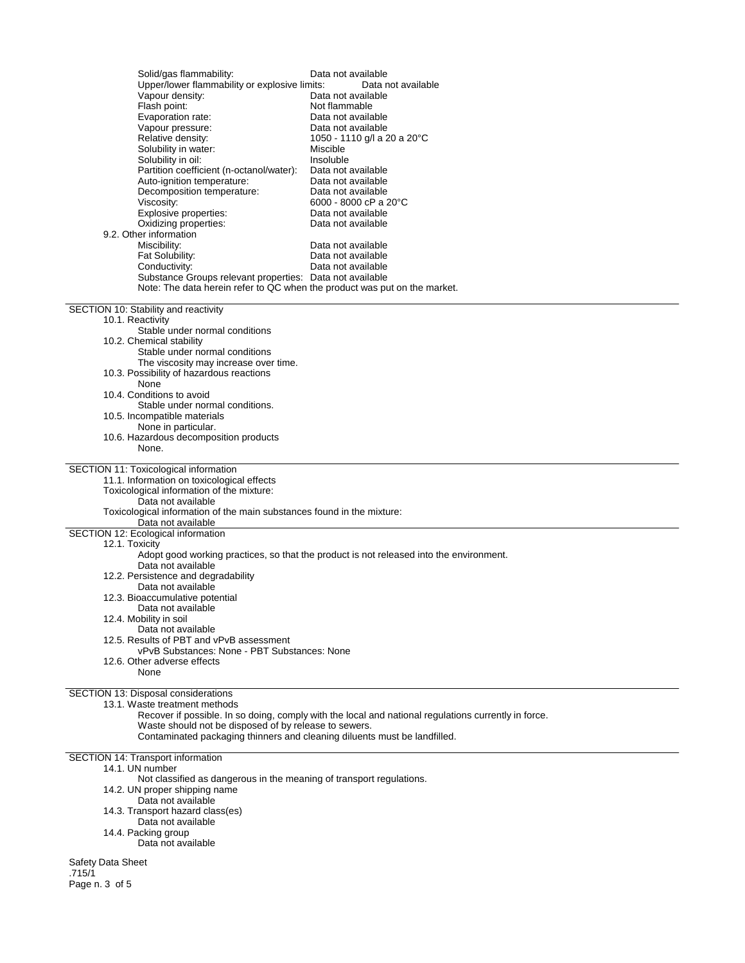| Solid/gas flammability:<br>Upper/lower flammability or explosive limits:<br>Vapour density:<br>Flash point:<br>Evaporation rate:<br>Vapour pressure:<br>Relative density:<br>Solubility in water:<br>Solubility in oil:<br>Partition coefficient (n-octanol/water):<br>Auto-ignition temperature:<br>Decomposition temperature:<br>Viscosity:<br>Explosive properties:<br>Oxidizing properties:<br>9.2. Other information<br>Miscibility:<br>Fat Solubility:<br>Conductivity:<br>Substance Groups relevant properties: Data not available<br>Note: The data herein refer to QC when the product was put on the market. | Data not available<br>Data not available<br>Data not available<br>Not flammable<br>Data not available<br>Data not available<br>1050 - 1110 g/l a 20 a 20°C<br>Miscible<br>Insoluble<br>Data not available<br>Data not available<br>Data not available<br>6000 - 8000 cP a 20 $^{\circ}$ C<br>Data not available<br>Data not available<br>Data not available<br>Data not available<br>Data not available |  |  |
|------------------------------------------------------------------------------------------------------------------------------------------------------------------------------------------------------------------------------------------------------------------------------------------------------------------------------------------------------------------------------------------------------------------------------------------------------------------------------------------------------------------------------------------------------------------------------------------------------------------------|---------------------------------------------------------------------------------------------------------------------------------------------------------------------------------------------------------------------------------------------------------------------------------------------------------------------------------------------------------------------------------------------------------|--|--|
| SECTION 10: Stability and reactivity<br>10.1. Reactivity                                                                                                                                                                                                                                                                                                                                                                                                                                                                                                                                                               |                                                                                                                                                                                                                                                                                                                                                                                                         |  |  |
| Stable under normal conditions                                                                                                                                                                                                                                                                                                                                                                                                                                                                                                                                                                                         |                                                                                                                                                                                                                                                                                                                                                                                                         |  |  |
| 10.2. Chemical stability<br>Stable under normal conditions                                                                                                                                                                                                                                                                                                                                                                                                                                                                                                                                                             |                                                                                                                                                                                                                                                                                                                                                                                                         |  |  |
| The viscosity may increase over time.                                                                                                                                                                                                                                                                                                                                                                                                                                                                                                                                                                                  |                                                                                                                                                                                                                                                                                                                                                                                                         |  |  |
| 10.3. Possibility of hazardous reactions<br>None                                                                                                                                                                                                                                                                                                                                                                                                                                                                                                                                                                       |                                                                                                                                                                                                                                                                                                                                                                                                         |  |  |
| 10.4. Conditions to avoid<br>Stable under normal conditions.                                                                                                                                                                                                                                                                                                                                                                                                                                                                                                                                                           |                                                                                                                                                                                                                                                                                                                                                                                                         |  |  |
| 10.5. Incompatible materials                                                                                                                                                                                                                                                                                                                                                                                                                                                                                                                                                                                           |                                                                                                                                                                                                                                                                                                                                                                                                         |  |  |
| None in particular.<br>10.6. Hazardous decomposition products                                                                                                                                                                                                                                                                                                                                                                                                                                                                                                                                                          |                                                                                                                                                                                                                                                                                                                                                                                                         |  |  |
| None.                                                                                                                                                                                                                                                                                                                                                                                                                                                                                                                                                                                                                  |                                                                                                                                                                                                                                                                                                                                                                                                         |  |  |
| SECTION 11: Toxicological information<br>11.1. Information on toxicological effects<br>Toxicological information of the mixture:<br>Data not available<br>Toxicological information of the main substances found in the mixture:<br>Data not available                                                                                                                                                                                                                                                                                                                                                                 |                                                                                                                                                                                                                                                                                                                                                                                                         |  |  |
| SECTION 12: Ecological information<br>12.1. Toxicity                                                                                                                                                                                                                                                                                                                                                                                                                                                                                                                                                                   |                                                                                                                                                                                                                                                                                                                                                                                                         |  |  |
|                                                                                                                                                                                                                                                                                                                                                                                                                                                                                                                                                                                                                        | Adopt good working practices, so that the product is not released into the environment.                                                                                                                                                                                                                                                                                                                 |  |  |
| Data not available<br>12.2. Persistence and degradability                                                                                                                                                                                                                                                                                                                                                                                                                                                                                                                                                              |                                                                                                                                                                                                                                                                                                                                                                                                         |  |  |
| Data not available                                                                                                                                                                                                                                                                                                                                                                                                                                                                                                                                                                                                     |                                                                                                                                                                                                                                                                                                                                                                                                         |  |  |
| 12.3. Bioaccumulative potential<br>Data not available                                                                                                                                                                                                                                                                                                                                                                                                                                                                                                                                                                  |                                                                                                                                                                                                                                                                                                                                                                                                         |  |  |
| 12.4. Mobility in soil<br>Data not available                                                                                                                                                                                                                                                                                                                                                                                                                                                                                                                                                                           |                                                                                                                                                                                                                                                                                                                                                                                                         |  |  |
| 12.5. Results of PBT and vPvB assessment                                                                                                                                                                                                                                                                                                                                                                                                                                                                                                                                                                               |                                                                                                                                                                                                                                                                                                                                                                                                         |  |  |
| vPvB Substances: None - PBT Substances: None<br>12.6. Other adverse effects                                                                                                                                                                                                                                                                                                                                                                                                                                                                                                                                            |                                                                                                                                                                                                                                                                                                                                                                                                         |  |  |
| None                                                                                                                                                                                                                                                                                                                                                                                                                                                                                                                                                                                                                   |                                                                                                                                                                                                                                                                                                                                                                                                         |  |  |
| SECTION 13: Disposal considerations                                                                                                                                                                                                                                                                                                                                                                                                                                                                                                                                                                                    |                                                                                                                                                                                                                                                                                                                                                                                                         |  |  |
| 13.1. Waste treatment methods                                                                                                                                                                                                                                                                                                                                                                                                                                                                                                                                                                                          | Recover if possible. In so doing, comply with the local and national regulations currently in force.                                                                                                                                                                                                                                                                                                    |  |  |
| Waste should not be disposed of by release to sewers.                                                                                                                                                                                                                                                                                                                                                                                                                                                                                                                                                                  |                                                                                                                                                                                                                                                                                                                                                                                                         |  |  |
| Contaminated packaging thinners and cleaning diluents must be landfilled.                                                                                                                                                                                                                                                                                                                                                                                                                                                                                                                                              |                                                                                                                                                                                                                                                                                                                                                                                                         |  |  |
| SECTION 14: Transport information<br>14.1. UN number                                                                                                                                                                                                                                                                                                                                                                                                                                                                                                                                                                   |                                                                                                                                                                                                                                                                                                                                                                                                         |  |  |
| Not classified as dangerous in the meaning of transport regulations.                                                                                                                                                                                                                                                                                                                                                                                                                                                                                                                                                   |                                                                                                                                                                                                                                                                                                                                                                                                         |  |  |
| 14.2. UN proper shipping name<br>Data not available                                                                                                                                                                                                                                                                                                                                                                                                                                                                                                                                                                    |                                                                                                                                                                                                                                                                                                                                                                                                         |  |  |
| 14.3. Transport hazard class(es)<br>Data not available                                                                                                                                                                                                                                                                                                                                                                                                                                                                                                                                                                 |                                                                                                                                                                                                                                                                                                                                                                                                         |  |  |
| 14.4. Packing group                                                                                                                                                                                                                                                                                                                                                                                                                                                                                                                                                                                                    |                                                                                                                                                                                                                                                                                                                                                                                                         |  |  |
| Data not available                                                                                                                                                                                                                                                                                                                                                                                                                                                                                                                                                                                                     |                                                                                                                                                                                                                                                                                                                                                                                                         |  |  |
| Safety Data Sheet                                                                                                                                                                                                                                                                                                                                                                                                                                                                                                                                                                                                      |                                                                                                                                                                                                                                                                                                                                                                                                         |  |  |
| .715/1<br>Page n. 3 of 5                                                                                                                                                                                                                                                                                                                                                                                                                                                                                                                                                                                               |                                                                                                                                                                                                                                                                                                                                                                                                         |  |  |
|                                                                                                                                                                                                                                                                                                                                                                                                                                                                                                                                                                                                                        |                                                                                                                                                                                                                                                                                                                                                                                                         |  |  |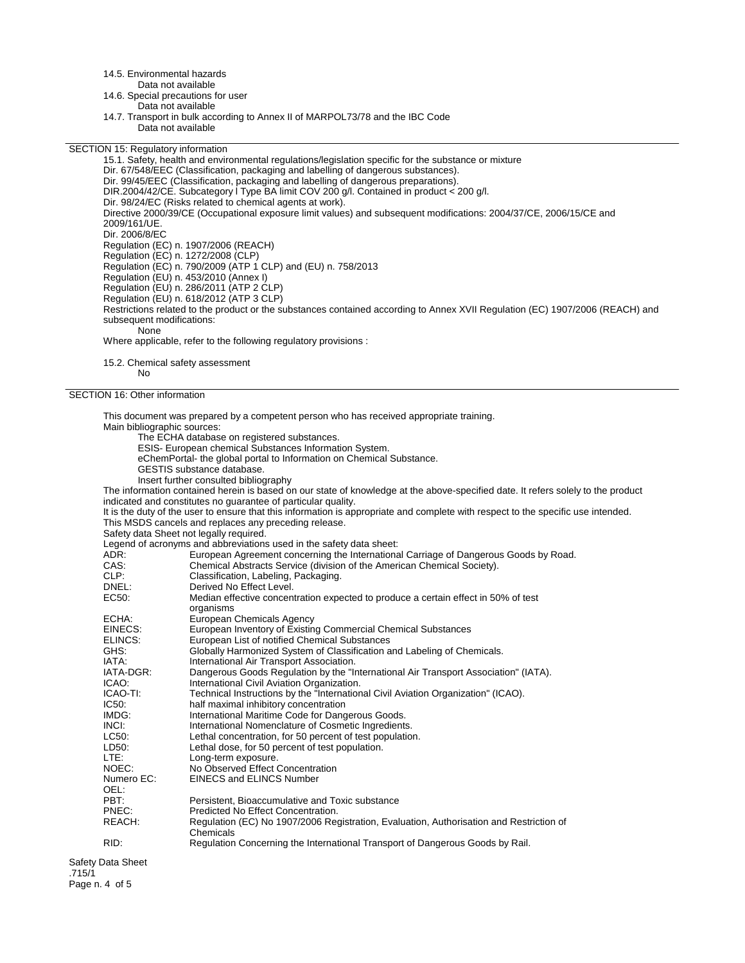14.5. Environmental hazards

Data not available

14.6. Special precautions for user Data not available

14.7. Transport in bulk according to Annex II of MARPOL73/78 and the IBC Code Data not available

SECTION 15: Regulatory information

15.1. Safety, health and environmental regulations/legislation specific for the substance or mixture Dir. 67/548/EEC (Classification, packaging and labelling of dangerous substances). Dir. 99/45/EEC (Classification, packaging and labelling of dangerous preparations). DIR.2004/42/CE. Subcategory l Type BA limit COV 200 g/l. Contained in product < 200 g/l. Dir. 98/24/EC (Risks related to chemical agents at work). Directive 2000/39/CE (Occupational exposure limit values) and subsequent modifications: 2004/37/CE, 2006/15/CE and 2009/161/UE. Dir. 2006/8/EC Regulation (EC) n. 1907/2006 (REACH) Regulation (EC) n. 1272/2008 (CLP) Regulation (EC) n. 790/2009 (ATP 1 CLP) and (EU) n. 758/2013 Regulation (EU) n. 453/2010 (Annex I) Regulation (EU) n. 286/2011 (ATP 2 CLP) Regulation (EU) n. 618/2012 (ATP 3 CLP) Restrictions related to the product or the substances contained according to Annex XVII Regulation (EC) 1907/2006 (REACH) and subsequent modifications: None Where applicable, refer to the following regulatory provisions :

15.2. Chemical safety assessment No

SECTION 16: Other information

This document was prepared by a competent person who has received appropriate training. Main bibliographic sources: The ECHA database on registered substances. ESIS- European chemical Substances Information System. eChemPortal- the global portal to Information on Chemical Substance. GESTIS substance database. Insert further consulted bibliography The information contained herein is based on our state of knowledge at the above-specified date. It refers solely to the product indicated and constitutes no guarantee of particular quality. It is the duty of the user to ensure that this information is appropriate and complete with respect to the specific use intended. This MSDS cancels and replaces any preceding release. Safety data Sheet not legally required. Legend of acronyms and abbreviations used in the safety data sheet:<br>ADR: European Agreement concerning the Internationa ADR: European Agreement concerning the International Carriage of Dangerous Goods by Road.<br>CAS: Chemical Abstracts Service (division of the American Chemical Society). Chemical Abstracts Service (division of the American Chemical Society). CLP: Classification, Labeling, Packaging.<br>
Derived No Effect Level. DNEL:<br>
EC50: Derived No Effect Level.<br>
Median effective concen Median effective concentration expected to produce a certain effect in 50% of test organisms ECHA: European Chemicals Agency<br>EINECS: European Inventory of Existin EINECS: European Inventory of Existing Commercial Chemical Substances<br>ELINCS: European List of notified Chemical Substances ELINCS: European List of notified Chemical Substances<br>GHS: Globally Harmonized System of Classification a GHS: Globally Harmonized System of Classification and Labeling of Chemicals.<br>
IATA: laternational Air Transport Association. IATA: International Air Transport Association.<br>IATA-DGR: Dangerous Goods Regulation by the "Ir Dangerous Goods Regulation by the "International Air Transport Association" (IATA). ICAO: International Civil Aviation Organization.<br>ICAO-TI: Technical Instructions by the "Internation ICAO-TI: Technical Instructions by the "International Civil Aviation Organization" (ICAO).<br>IC50: half maximal inhibitory concentration IC50: half maximal inhibitory concentration<br>IMDG: lnternational Maritime Code for Dang International Maritime Code for Dangerous Goods. INCI:<br>IC50: International Nomenclature of Cosmetic Ingredients.<br>IC50: Inthe Indian Concentration. for 50 percent of test population LC50: Lethal concentration, for 50 percent of test population.<br>LD50: Lethal dose, for 50 percent of test population. LD50: Lethal dose, for 50 percent of test population.<br>LTE: Long-term exposure. LTE: Long-term exposure.<br>
NOEC: No Observed Effect ( NOEC: No Observed Effect Concentration<br>Numero EC: EINECS and ELINCS Number EINECS and ELINCS Number OEL:<br>PBT: Persistent, Bioaccumulative and Toxic substance PNEC: Predicted No Effect Concentration.<br>REACH: Requilation (FC) No 1907/2006 Re Regulation (EC) No 1907/2006 Registration, Evaluation, Authorisation and Restriction of Chemicals RID: Regulation Concerning the International Transport of Dangerous Goods by Rail. Safety Data Sheet

.715/1 Page n. 4 of 5